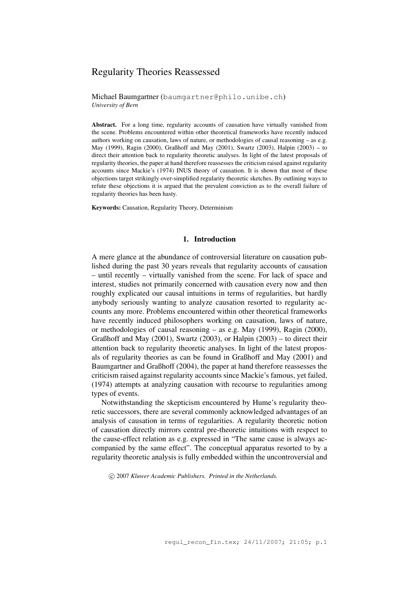# Regularity Theories Reassessed

Michael Baumgartner (baumgartner@philo.unibe.ch) *University of Bern*

Abstract. For a long time, regularity accounts of causation have virtually vanished from the scene. Problems encountered within other theoretical frameworks have recently induced authors working on causation, laws of nature, or methodologies of causal reasoning – as e.g. May (1999), Ragin (2000), Graßhoff and May (2001), Swartz (2003), Halpin (2003) – to direct their attention back to regularity theoretic analyses. In light of the latest proposals of regularity theories, the paper at hand therefore reassesses the criticism raised against regularity accounts since Mackie's (1974) INUS theory of causation. It is shown that most of these objections target strikingly over-simplified regularity theoretic sketches. By outlining ways to refute these objections it is argued that the prevalent conviction as to the overall failure of regularity theories has been hasty.

Keywords: Causation, Regularity Theory, Determinism

### 1. Introduction

A mere glance at the abundance of controversial literature on causation published during the past 30 years reveals that regularity accounts of causation – until recently – virtually vanished from the scene. For lack of space and interest, studies not primarily concerned with causation every now and then roughly explicated our causal intuitions in terms of regularities, but hardly anybody seriously wanting to analyze causation resorted to regularity accounts any more. Problems encountered within other theoretical frameworks have recently induced philosophers working on causation, laws of nature, or methodologies of causal reasoning – as e.g. May (1999), Ragin (2000), Graßhoff and May (2001), Swartz (2003), or Halpin (2003) – to direct their attention back to regularity theoretic analyses. In light of the latest proposals of regularity theories as can be found in Graßhoff and May (2001) and Baumgartner and Graßhoff (2004), the paper at hand therefore reassesses the criticism raised against regularity accounts since Mackie's famous, yet failed, (1974) attempts at analyzing causation with recourse to regularities among types of events.

Notwithstanding the skepticism encountered by Hume's regularity theoretic successors, there are several commonly acknowledged advantages of an analysis of causation in terms of regularities. A regularity theoretic notion of causation directly mirrors central pre-theoretic intuitions with respect to the cause-effect relation as e.g. expressed in "The same cause is always accompanied by the same effect". The conceptual apparatus resorted to by a regularity theoretic analysis is fully embedded within the uncontroversial and

c 2007 *Kluwer Academic Publishers. Printed in the Netherlands.*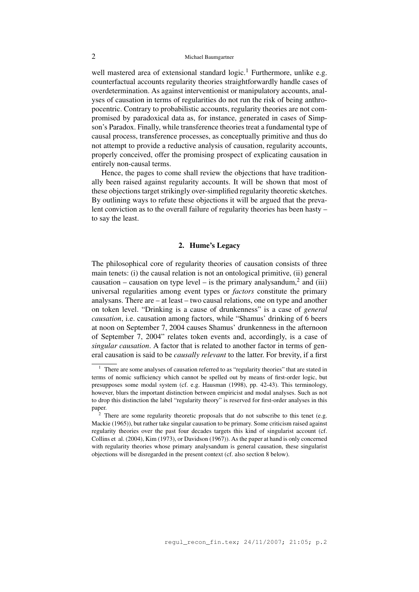well mastered area of extensional standard logic.<sup>1</sup> Furthermore, unlike e.g. counterfactual accounts regularity theories straightforwardly handle cases of overdetermination. As against interventionist or manipulatory accounts, analyses of causation in terms of regularities do not run the risk of being anthropocentric. Contrary to probabilistic accounts, regularity theories are not compromised by paradoxical data as, for instance, generated in cases of Simpson's Paradox. Finally, while transference theories treat a fundamental type of causal process, transference processes, as conceptually primitive and thus do not attempt to provide a reductive analysis of causation, regularity accounts, properly conceived, offer the promising prospect of explicating causation in entirely non-causal terms.

Hence, the pages to come shall review the objections that have traditionally been raised against regularity accounts. It will be shown that most of these objections target strikingly over-simplified regularity theoretic sketches. By outlining ways to refute these objections it will be argued that the prevalent conviction as to the overall failure of regularity theories has been hasty – to say the least.

## 2. Hume's Legacy

The philosophical core of regularity theories of causation consists of three main tenets: (i) the causal relation is not an ontological primitive, (ii) general causation – causation on type level – is the primary analysandum,<sup>2</sup> and (iii) universal regularities among event types or *factors* constitute the primary analysans. There are – at least – two causal relations, one on type and another on token level. "Drinking is a cause of drunkenness" is a case of *general causation*, i.e. causation among factors, while "Shamus' drinking of 6 beers at noon on September 7, 2004 causes Shamus' drunkenness in the afternoon of September 7, 2004" relates token events and, accordingly, is a case of *singular causation*. A factor that is related to another factor in terms of general causation is said to be *causally relevant* to the latter. For brevity, if a first

 $1$  There are some analyses of causation referred to as "regularity theories" that are stated in terms of nomic sufficiency which cannot be spelled out by means of first-order logic, but presupposes some modal system (cf. e.g. Hausman (1998), pp. 42-43). This terminology, however, blurs the important distinction between empiricist and modal analyses. Such as not to drop this distinction the label "regularity theory" is reserved for first-order analyses in this paper.

There are some regularity theoretic proposals that do not subscribe to this tenet (e.g. Mackie (1965)), but rather take singular causation to be primary. Some criticism raised against regularity theories over the past four decades targets this kind of singularist account (cf. Collins et al. (2004), Kim (1973), or Davidson (1967)). As the paper at hand is only concerned with regularity theories whose primary analysandum is general causation, these singularist objections will be disregarded in the present context (cf. also section 8 below).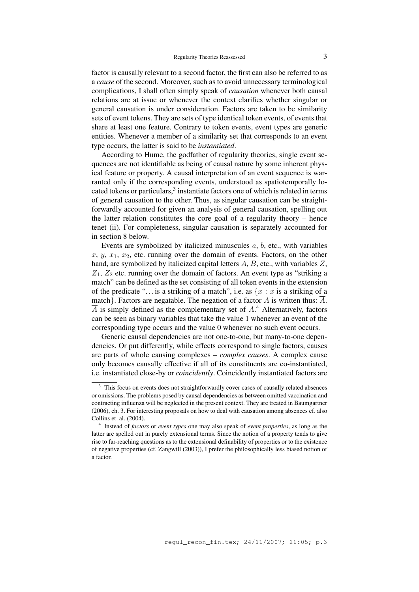factor is causally relevant to a second factor, the first can also be referred to as a *cause* of the second. Moreover, such as to avoid unnecessary terminological complications, I shall often simply speak of *causation* whenever both causal relations are at issue or whenever the context clarifies whether singular or general causation is under consideration. Factors are taken to be similarity sets of event tokens. They are sets of type identical token events, of events that share at least one feature. Contrary to token events, event types are generic entities. Whenever a member of a similarity set that corresponds to an event type occurs, the latter is said to be *instantiated*.

According to Hume, the godfather of regularity theories, single event sequences are not identifiable as being of causal nature by some inherent physical feature or property. A causal interpretation of an event sequence is warranted only if the corresponding events, understood as spatiotemporally located tokens or particulars, $3$  instantiate factors one of which is related in terms of general causation to the other. Thus, as singular causation can be straightforwardly accounted for given an analysis of general causation, spelling out the latter relation constitutes the core goal of a regularity theory – hence tenet (ii). For completeness, singular causation is separately accounted for in section 8 below.

Events are symbolized by italicized minuscules  $a, b$ , etc., with variables  $x, y, x_1, x_2$ , etc. running over the domain of events. Factors, on the other hand, are symbolized by italicized capital letters  $A, B$ , etc., with variables  $Z$ ,  $Z_1$ ,  $Z_2$  etc. running over the domain of factors. An event type as "striking a match" can be defined as the set consisting of all token events in the extension of the predicate "... is a striking of a match", i.e. as  $\{x : x$  is a striking of a match}. Factors are negatable. The negation of a factor A is written thus:  $\overline{A}$ .  $\overline{A}$  is simply defined as the complementary set of  $A$ .<sup>4</sup> Alternatively, factors can be seen as binary variables that take the value 1 whenever an event of the corresponding type occurs and the value 0 whenever no such event occurs.

Generic causal dependencies are not one-to-one, but many-to-one dependencies. Or put differently, while effects correspond to single factors, causes are parts of whole causing complexes – *complex causes*. A complex cause only becomes causally effective if all of its constituents are co-instantiated, i.e. instantiated close-by or *coincidently*. Coincidently instantiated factors are

This focus on events does not straightforwardly cover cases of causally related absences or omissions. The problems posed by causal dependencies as between omitted vaccination and contracting influenza will be neglected in the present context. They are treated in Baumgartner (2006), ch. 3. For interesting proposals on how to deal with causation among absences cf. also Collins et al. (2004).

<sup>4</sup> Instead of *factors* or *event types* one may also speak of *event properties*, as long as the latter are spelled out in purely extensional terms. Since the notion of a property tends to give rise to far-reaching questions as to the extensional definability of properties or to the existence of negative properties (cf. Zangwill (2003)), I prefer the philosophically less biased notion of a factor.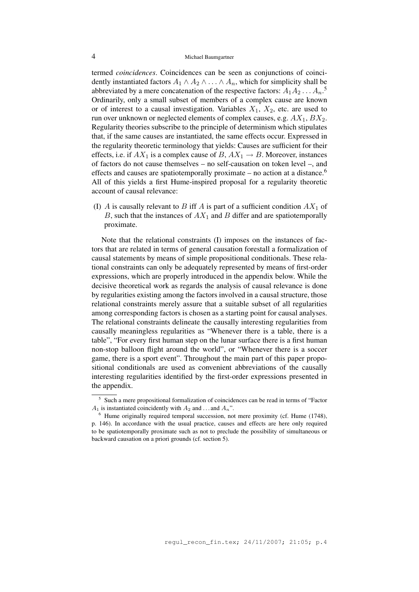termed *coincidences*. Coincidences can be seen as conjunctions of coincidently instantiated factors  $A_1 \wedge A_2 \wedge \ldots \wedge A_n$ , which for simplicity shall be abbreviated by a mere concatenation of the respective factors:  $A_1A_2 \ldots A_n$ .<sup>5</sup> Ordinarily, only a small subset of members of a complex cause are known or of interest to a causal investigation. Variables  $X_1$ ,  $X_2$ , etc. are used to run over unknown or neglected elements of complex causes, e.g.  $AX_1$ ,  $BX_2$ . Regularity theories subscribe to the principle of determinism which stipulates that, if the same causes are instantiated, the same effects occur. Expressed in the regularity theoretic terminology that yields: Causes are sufficient for their effects, i.e. if  $AX_1$  is a complex cause of B,  $AX_1 \rightarrow B$ . Moreover, instances of factors do not cause themselves – no self-causation on token level –, and effects and causes are spatiotemporally proximate – no action at a distance.<sup>6</sup> All of this yields a first Hume-inspired proposal for a regularity theoretic account of causal relevance:

(I) A is causally relevant to B iff A is part of a sufficient condition  $AX_1$  of B, such that the instances of  $AX_1$  and B differ and are spatiotemporally proximate.

Note that the relational constraints (I) imposes on the instances of factors that are related in terms of general causation forestall a formalization of causal statements by means of simple propositional conditionals. These relational constraints can only be adequately represented by means of first-order expressions, which are properly introduced in the appendix below. While the decisive theoretical work as regards the analysis of causal relevance is done by regularities existing among the factors involved in a causal structure, those relational constraints merely assure that a suitable subset of all regularities among corresponding factors is chosen as a starting point for causal analyses. The relational constraints delineate the causally interesting regularities from causally meaningless regularities as "Whenever there is a table, there is a table", "For every first human step on the lunar surface there is a first human non-stop balloon flight around the world", or "Whenever there is a soccer game, there is a sport event". Throughout the main part of this paper propositional conditionals are used as convenient abbreviations of the causally interesting regularities identified by the first-order expressions presented in the appendix.

<sup>5</sup> Such a mere propositional formalization of coincidences can be read in terms of "Factor  $A_1$  is instantiated coincidently with  $A_2$  and ... and  $A_n$ ".

<sup>6</sup> Hume originally required temporal succession, not mere proximity (cf. Hume (1748), p. 146). In accordance with the usual practice, causes and effects are here only required to be spatiotemporally proximate such as not to preclude the possibility of simultaneous or backward causation on a priori grounds (cf. section 5).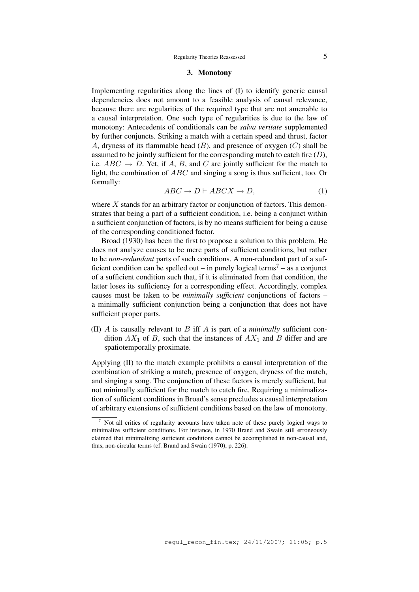### 3. Monotony

Implementing regularities along the lines of (I) to identify generic causal dependencies does not amount to a feasible analysis of causal relevance, because there are regularities of the required type that are not amenable to a causal interpretation. One such type of regularities is due to the law of monotony: Antecedents of conditionals can be *salva veritate* supplemented by further conjuncts. Striking a match with a certain speed and thrust, factor A, dryness of its flammable head  $(B)$ , and presence of oxygen  $(C)$  shall be assumed to be jointly sufficient for the corresponding match to catch fire  $(D)$ , i.e.  $ABC \rightarrow D$ . Yet, if A, B, and C are jointly sufficient for the match to light, the combination of ABC and singing a song is thus sufficient, too. Or formally:

$$
ABC \to D \vdash ABCX \to D,\tag{1}
$$

where  $X$  stands for an arbitrary factor or conjunction of factors. This demonstrates that being a part of a sufficient condition, i.e. being a conjunct within a sufficient conjunction of factors, is by no means sufficient for being a cause of the corresponding conditioned factor.

Broad (1930) has been the first to propose a solution to this problem. He does not analyze causes to be mere parts of sufficient conditions, but rather to be *non-redundant* parts of such conditions. A non-redundant part of a sufficient condition can be spelled out – in purely logical terms<sup>7</sup> – as a conjunct of a sufficient condition such that, if it is eliminated from that condition, the latter loses its sufficiency for a corresponding effect. Accordingly, complex causes must be taken to be *minimally sufficient* conjunctions of factors – a minimally sufficient conjunction being a conjunction that does not have sufficient proper parts.

(II) A is causally relevant to B iff A is part of a *minimally* sufficient condition  $AX_1$  of B, such that the instances of  $AX_1$  and B differ and are spatiotemporally proximate.

Applying (II) to the match example prohibits a causal interpretation of the combination of striking a match, presence of oxygen, dryness of the match, and singing a song. The conjunction of these factors is merely sufficient, but not minimally sufficient for the match to catch fire. Requiring a minimalization of sufficient conditions in Broad's sense precludes a causal interpretation of arbitrary extensions of sufficient conditions based on the law of monotony.

<sup>7</sup> Not all critics of regularity accounts have taken note of these purely logical ways to minimalize sufficient conditions. For instance, in 1970 Brand and Swain still erroneously claimed that minimalizing sufficient conditions cannot be accomplished in non-causal and, thus, non-circular terms (cf. Brand and Swain (1970), p. 226).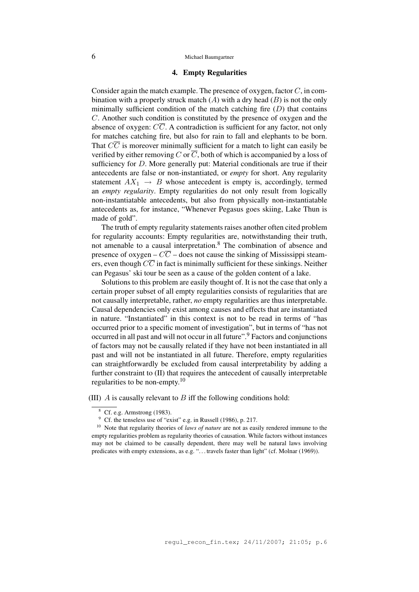## 4. Empty Regularities

Consider again the match example. The presence of oxygen, factor  $C$ , in combination with a properly struck match  $(A)$  with a dry head  $(B)$  is not the only minimally sufficient condition of the match catching fire  $(D)$  that contains C. Another such condition is constituted by the presence of oxygen and the absence of oxygen:  $C\overline{C}$ . A contradiction is sufficient for any factor, not only for matches catching fire, but also for rain to fall and elephants to be born. That  $C\overline{C}$  is moreover minimally sufficient for a match to light can easily be verified by either removing C or  $\overline{C}$ , both of which is accompanied by a loss of sufficiency for D. More generally put: Material conditionals are true if their antecedents are false or non-instantiated, or *empty* for short. Any regularity statement  $AX_1 \rightarrow B$  whose antecedent is empty is, accordingly, termed an *empty regularity*. Empty regularities do not only result from logically non-instantiatable antecedents, but also from physically non-instantiatable antecedents as, for instance, "Whenever Pegasus goes skiing, Lake Thun is made of gold".

The truth of empty regularity statements raises another often cited problem for regularity accounts: Empty regularities are, notwithstanding their truth, not amenable to a causal interpretation.<sup>8</sup> The combination of absence and presence of oxygen –  $C\overline{C}$  – does not cause the sinking of Mississippi steamers, even though  $C\overline{C}$  in fact is minimally sufficient for these sinkings. Neither can Pegasus' ski tour be seen as a cause of the golden content of a lake.

Solutions to this problem are easily thought of. It is not the case that only a certain proper subset of all empty regularities consists of regularities that are not causally interpretable, rather, *no* empty regularities are thus interpretable. Causal dependencies only exist among causes and effects that are instantiated in nature. "Instantiated" in this context is not to be read in terms of "has occurred prior to a specific moment of investigation", but in terms of "has not occurred in all past and will not occur in all future".<sup>9</sup> Factors and conjunctions of factors may not be causally related if they have not been instantiated in all past and will not be instantiated in all future. Therefore, empty regularities can straightforwardly be excluded from causal interpretability by adding a further constraint to (II) that requires the antecedent of causally interpretable regularities to be non-empty.<sup>10</sup>

(III)  $\tilde{A}$  is causally relevant to  $\tilde{B}$  iff the following conditions hold:

 $8$  Cf. e.g. Armstrong (1983).

<sup>9</sup> Cf. the tenseless use of "exist" e.g. in Russell (1986), p. 217.

<sup>&</sup>lt;sup>10</sup> Note that regularity theories of *laws of nature* are not as easily rendered immune to the empty regularities problem as regularity theories of causation. While factors without instances may not be claimed to be causally dependent, there may well be natural laws involving predicates with empty extensions, as e.g. ". . . travels faster than light" (cf. Molnar (1969)).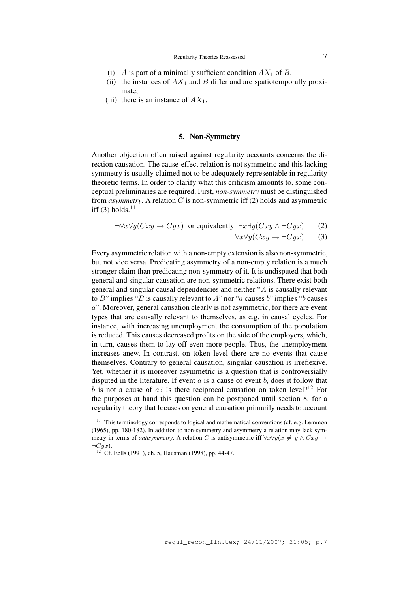## Regularity Theories Reassessed 7

- (i) A is part of a minimally sufficient condition  $AX_1$  of B,
- (ii) the instances of  $AX_1$  and B differ and are spatiotemporally proximate,
- (iii) there is an instance of  $AX_1$ .

## 5. Non-Symmetry

Another objection often raised against regularity accounts concerns the direction causation. The cause-effect relation is not symmetric and this lacking symmetry is usually claimed not to be adequately representable in regularity theoretic terms. In order to clarify what this criticism amounts to, some conceptual preliminaries are required. First, *non-symmetry* must be distinguished from *asymmetry*. A relation  $C$  is non-symmetric iff (2) holds and asymmetric iff  $(3)$  holds.<sup>11</sup>

$$
\neg \forall x \forall y (Cxy \to Cyx) \text{ or equivalently } \exists x \exists y (Cxy \land \neg Cyx) \tag{2}
$$

$$
\forall x \forall y (Cxy \land \neg Cyx) \quad (2)
$$
  

$$
\forall x \forall y (Cxy \rightarrow \neg Cyx) \quad (3)
$$

Every asymmetric relation with a non-empty extension is also non-symmetric, but not vice versa. Predicating asymmetry of a non-empty relation is a much stronger claim than predicating non-symmetry of it. It is undisputed that both general and singular causation are non-symmetric relations. There exist both general and singular causal dependencies and neither "A is causally relevant to B" implies "B is causally relevant to A" nor "a causes b" implies "b causes" a". Moreover, general causation clearly is not asymmetric, for there are event types that are causally relevant to themselves, as e.g. in causal cycles. For instance, with increasing unemployment the consumption of the population is reduced. This causes decreased profits on the side of the employers, which, in turn, causes them to lay off even more people. Thus, the unemployment increases anew. In contrast, on token level there are no events that cause themselves. Contrary to general causation, singular causation is irreflexive. Yet, whether it is moreover asymmetric is a question that is controversially disputed in the literature. If event  $a$  is a cause of event  $b$ , does it follow that b is not a cause of a? Is there reciprocal causation on token level?<sup>12</sup> For the purposes at hand this question can be postponed until section 8, for a regularity theory that focuses on general causation primarily needs to account

 $\overline{11}$  This terminology corresponds to logical and mathematical conventions (cf. e.g. Lemmon (1965), pp. 180-182). In addition to non-symmetry and asymmetry a relation may lack symmetry in terms of *antisymmetry*. A relation C is antisymmetric iff  $\forall x \forall y (x \neq y \land Cxy \rightarrow$  $\neg Cyx$ ).

<sup>&</sup>lt;sup>12</sup> Cf. Eells (1991), ch. 5, Hausman (1998), pp. 44-47.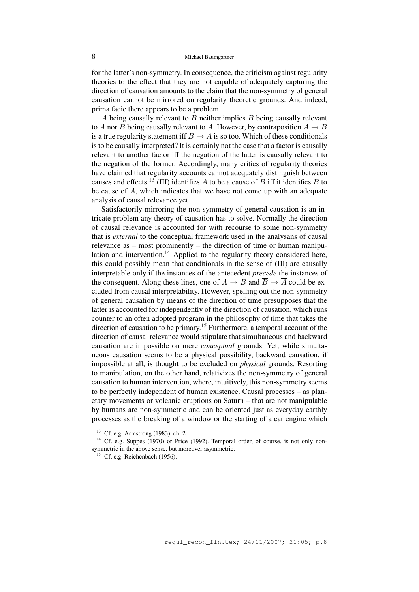for the latter's non-symmetry. In consequence, the criticism against regularity theories to the effect that they are not capable of adequately capturing the direction of causation amounts to the claim that the non-symmetry of general causation cannot be mirrored on regularity theoretic grounds. And indeed, prima facie there appears to be a problem.

A being causally relevant to  $B$  neither implies  $B$  being causally relevant to A nor  $\overline{B}$  being causally relevant to  $\overline{A}$ . However, by contraposition  $A \rightarrow B$ is a true regularity statement iff  $\overline{B} \to \overline{A}$  is so too. Which of these conditionals is to be causally interpreted? It is certainly not the case that a factor is causally relevant to another factor iff the negation of the latter is causally relevant to the negation of the former. Accordingly, many critics of regularity theories have claimed that regularity accounts cannot adequately distinguish between causes and effects.<sup>13</sup> (III) identifies A to be a cause of B iff it identifies  $\overline{B}$  to be cause of  $\overline{A}$ , which indicates that we have not come up with an adequate analysis of causal relevance yet.

Satisfactorily mirroring the non-symmetry of general causation is an intricate problem any theory of causation has to solve. Normally the direction of causal relevance is accounted for with recourse to some non-symmetry that is *external* to the conceptual framework used in the analysans of causal relevance as – most prominently – the direction of time or human manipulation and intervention.<sup>14</sup> Applied to the regularity theory considered here, this could possibly mean that conditionals in the sense of (III) are causally interpretable only if the instances of the antecedent *precede* the instances of the consequent. Along these lines, one of  $A \to B$  and  $\overline{B} \to \overline{A}$  could be excluded from causal interpretability. However, spelling out the non-symmetry of general causation by means of the direction of time presupposes that the latter is accounted for independently of the direction of causation, which runs counter to an often adopted program in the philosophy of time that takes the direction of causation to be primary.<sup>15</sup> Furthermore, a temporal account of the direction of causal relevance would stipulate that simultaneous and backward causation are impossible on mere *conceptual* grounds. Yet, while simultaneous causation seems to be a physical possibility, backward causation, if impossible at all, is thought to be excluded on *physical* grounds. Resorting to manipulation, on the other hand, relativizes the non-symmetry of general causation to human intervention, where, intuitively, this non-symmetry seems to be perfectly independent of human existence. Causal processes – as planetary movements or volcanic eruptions on Saturn – that are not manipulable by humans are non-symmetric and can be oriented just as everyday earthly processes as the breaking of a window or the starting of a car engine which

<sup>13</sup> Cf. e.g. Armstrong (1983), ch. 2.

<sup>&</sup>lt;sup>14</sup> Cf. e.g. Suppes (1970) or Price (1992). Temporal order, of course, is not only nonsymmetric in the above sense, but moreover asymmetric.

<sup>&</sup>lt;sup>15</sup> Cf. e.g. Reichenbach (1956).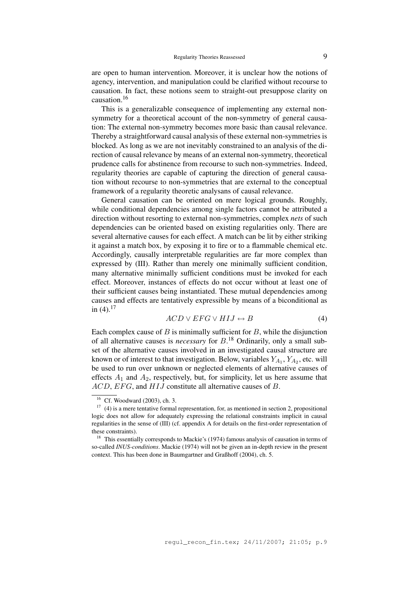are open to human intervention. Moreover, it is unclear how the notions of agency, intervention, and manipulation could be clarified without recourse to causation. In fact, these notions seem to straight-out presuppose clarity on causation.<sup>16</sup>

This is a generalizable consequence of implementing any external nonsymmetry for a theoretical account of the non-symmetry of general causation: The external non-symmetry becomes more basic than causal relevance. Thereby a straightforward causal analysis of these external non-symmetries is blocked. As long as we are not inevitably constrained to an analysis of the direction of causal relevance by means of an external non-symmetry, theoretical prudence calls for abstinence from recourse to such non-symmetries. Indeed, regularity theories are capable of capturing the direction of general causation without recourse to non-symmetries that are external to the conceptual framework of a regularity theoretic analysans of causal relevance.

General causation can be oriented on mere logical grounds. Roughly, while conditional dependencies among single factors cannot be attributed a direction without resorting to external non-symmetries, complex *nets* of such dependencies can be oriented based on existing regularities only. There are several alternative causes for each effect. A match can be lit by either striking it against a match box, by exposing it to fire or to a flammable chemical etc. Accordingly, causally interpretable regularities are far more complex than expressed by (III). Rather than merely one minimally sufficient condition, many alternative minimally sufficient conditions must be invoked for each effect. Moreover, instances of effects do not occur without at least one of their sufficient causes being instantiated. These mutual dependencies among causes and effects are tentatively expressible by means of a biconditional as in  $(4).^{17}$ 

$$
ACD \vee EFG \vee HIJ \leftrightarrow B \tag{4}
$$

Each complex cause of  $B$  is minimally sufficient for  $B$ , while the disjunction of all alternative causes is *necessary* for B. <sup>18</sup> Ordinarily, only a small subset of the alternative causes involved in an investigated causal structure are known or of interest to that investigation. Below, variables  $Y_{A_1}, Y_{A_2}$ , etc. will be used to run over unknown or neglected elements of alternative causes of effects  $A_1$  and  $A_2$ , respectively, but, for simplicity, let us here assume that  $ACD, EFG,$  and  $HIJ$  constitute all alternative causes of  $B$ .

 $\frac{16}{16}$  Cf. Woodward (2003), ch. 3.

 $17$  (4) is a mere tentative formal representation, for, as mentioned in section 2, propositional logic does not allow for adequately expressing the relational constraints implicit in causal regularities in the sense of (III) (cf. appendix A for details on the first-order representation of these constraints).

<sup>&</sup>lt;sup>18</sup> This essentially corresponds to Mackie's (1974) famous analysis of causation in terms of so-called *INUS-conditions*. Mackie (1974) will not be given an in-depth review in the present context. This has been done in Baumgartner and Graßhoff (2004), ch. 5.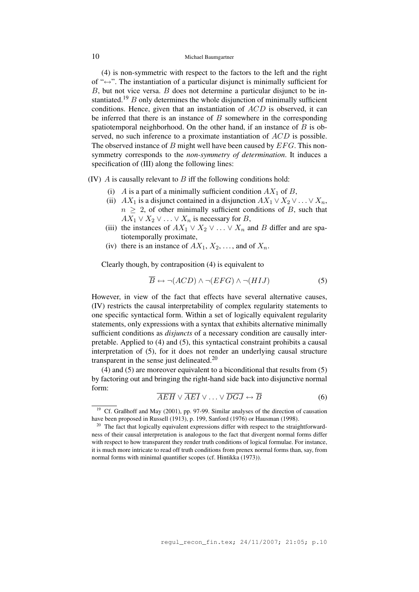(4) is non-symmetric with respect to the factors to the left and the right of " $\leftrightarrow$ ". The instantiation of a particular disjunct is minimally sufficient for  $B$ , but not vice versa.  $B$  does not determine a particular disjunct to be instantiated.<sup>19</sup> B only determines the whole disjunction of minimally sufficient conditions. Hence, given that an instantiation of ACD is observed, it can be inferred that there is an instance of  $B$  somewhere in the corresponding spatiotemporal neighborhood. On the other hand, if an instance of  $B$  is observed, no such inference to a proximate instantiation of  $ACD$  is possible. The observed instance of  $B$  might well have been caused by  $EFG$ . This nonsymmetry corresponds to the *non-symmetry of determination*. It induces a specification of (III) along the following lines:

(IV)  $\tilde{A}$  is causally relevant to  $\tilde{B}$  iff the following conditions hold:

- (i) A is a part of a minimally sufficient condition  $AX_1$  of B,
- (ii)  $AX_1$  is a disjunct contained in a disjunction  $AX_1 \vee X_2 \vee \ldots \vee X_n$ ,  $n \geq 2$ , of other minimally sufficient conditions of B, such that  $AX_1 \vee X_2 \vee \ldots \vee X_n$  is necessary for B,
- (iii) the instances of  $AX_1 \vee X_2 \vee \ldots \vee X_n$  and B differ and are spatiotemporally proximate,
- (iv) there is an instance of  $AX_1, X_2, \ldots$ , and of  $X_n$ .

Clearly though, by contraposition (4) is equivalent to

$$
\overline{B} \leftrightarrow \neg (ACD) \land \neg (EFG) \land \neg (HIJ) \tag{5}
$$

However, in view of the fact that effects have several alternative causes, (IV) restricts the causal interpretability of complex regularity statements to one specific syntactical form. Within a set of logically equivalent regularity statements, only expressions with a syntax that exhibits alternative minimally sufficient conditions as *disjuncts* of a necessary condition are causally interpretable. Applied to (4) and (5), this syntactical constraint prohibits a causal interpretation of (5), for it does not render an underlying causal structure transparent in the sense just delineated.<sup>20</sup>

(4) and (5) are moreover equivalent to a biconditional that results from (5) by factoring out and bringing the right-hand side back into disjunctive normal form:

$$
\overline{AEH} \lor \overline{AEI} \lor \dots \lor \overline{DGJ} \leftrightarrow \overline{B} \tag{6}
$$

<sup>&</sup>lt;sup>19</sup> Cf. Graßhoff and May (2001), pp. 97-99. Similar analyses of the direction of causation have been proposed in Russell (1913), p. 199, Sanford (1976) or Hausman (1998).

<sup>&</sup>lt;sup>20</sup> The fact that logically equivalent expressions differ with respect to the straightforwardness of their causal interpretation is analogous to the fact that divergent normal forms differ with respect to how transparent they render truth conditions of logical formulae. For instance, it is much more intricate to read off truth conditions from prenex normal forms than, say, from normal forms with minimal quantifier scopes (cf. Hintikka (1973)).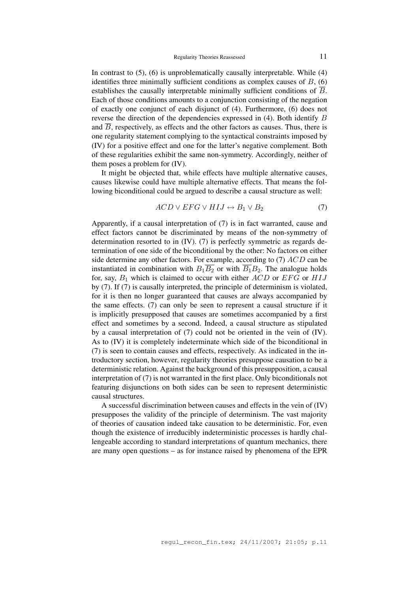In contrast to  $(5)$ ,  $(6)$  is unproblematically causally interpretable. While  $(4)$ identifies three minimally sufficient conditions as complex causes of  $B$ , (6) establishes the causally interpretable minimally sufficient conditions of  $\overline{B}$ . Each of those conditions amounts to a conjunction consisting of the negation of exactly one conjunct of each disjunct of (4). Furthermore, (6) does not reverse the direction of the dependencies expressed in (4). Both identify B and  $\overline{B}$ , respectively, as effects and the other factors as causes. Thus, there is one regularity statement complying to the syntactical constraints imposed by (IV) for a positive effect and one for the latter's negative complement. Both of these regularities exhibit the same non-symmetry. Accordingly, neither of them poses a problem for (IV).

It might be objected that, while effects have multiple alternative causes, causes likewise could have multiple alternative effects. That means the following biconditional could be argued to describe a causal structure as well:

$$
ACD \vee EFG \vee HIJ \leftrightarrow B_1 \vee B_2 \tag{7}
$$

Apparently, if a causal interpretation of (7) is in fact warranted, cause and effect factors cannot be discriminated by means of the non-symmetry of determination resorted to in (IV). (7) is perfectly symmetric as regards determination of one side of the biconditional by the other: No factors on either side determine any other factors. For example, according to (7) ACD can be instantiated in combination with  $B_1\overline{B_2}$  or with  $\overline{B_1}B_2$ . The analogue holds for, say,  $B_1$  which is claimed to occur with either  $ACD$  or  $EFG$  or  $HIJ$ by (7). If (7) is causally interpreted, the principle of determinism is violated, for it is then no longer guaranteed that causes are always accompanied by the same effects. (7) can only be seen to represent a causal structure if it is implicitly presupposed that causes are sometimes accompanied by a first effect and sometimes by a second. Indeed, a causal structure as stipulated by a causal interpretation of (7) could not be oriented in the vein of (IV). As to (IV) it is completely indeterminate which side of the biconditional in (7) is seen to contain causes and effects, respectively. As indicated in the introductory section, however, regularity theories presuppose causation to be a deterministic relation. Against the background of this presupposition, a causal interpretation of (7) is not warranted in the first place. Only biconditionals not featuring disjunctions on both sides can be seen to represent deterministic causal structures.

A successful discrimination between causes and effects in the vein of (IV) presupposes the validity of the principle of determinism. The vast majority of theories of causation indeed take causation to be deterministic. For, even though the existence of irreducibly indeterministic processes is hardly challengeable according to standard interpretations of quantum mechanics, there are many open questions – as for instance raised by phenomena of the EPR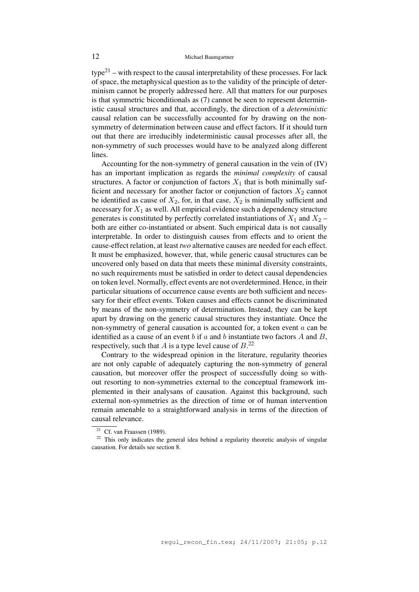$type<sup>21</sup>$  – with respect to the causal interpretability of these processes. For lack of space, the metaphysical question as to the validity of the principle of determinism cannot be properly addressed here. All that matters for our purposes is that symmetric biconditionals as (7) cannot be seen to represent deterministic causal structures and that, accordingly, the direction of a *deterministic* causal relation can be successfully accounted for by drawing on the nonsymmetry of determination between cause and effect factors. If it should turn out that there are irreducibly indeterministic causal processes after all, the non-symmetry of such processes would have to be analyzed along different lines.

Accounting for the non-symmetry of general causation in the vein of (IV) has an important implication as regards the *minimal complexity* of causal structures. A factor or conjunction of factors  $X_1$  that is both minimally sufficient and necessary for another factor or conjunction of factors  $X_2$  cannot be identified as cause of  $X_2$ , for, in that case,  $X_2$  is minimally sufficient and necessary for  $X_1$  as well. All empirical evidence such a dependency structure generates is constituted by perfectly correlated instantiations of  $X_1$  and  $X_2$  – both are either co-instantiated or absent. Such empirical data is not causally interpretable. In order to distinguish causes from effects and to orient the cause-effect relation, at least *two* alternative causes are needed for each effect. It must be emphasized, however, that, while generic causal structures can be uncovered only based on data that meets these minimal diversity constraints, no such requirements must be satisfied in order to detect causal dependencies on token level. Normally, effect events are not overdetermined. Hence, in their particular situations of occurrence cause events are both sufficient and necessary for their effect events. Token causes and effects cannot be discriminated by means of the non-symmetry of determination. Instead, they can be kept apart by drawing on the generic causal structures they instantiate. Once the non-symmetry of general causation is accounted for, a token event  $a$  can be identified as a cause of an event  $b$  if  $a$  and  $b$  instantiate two factors  $A$  and  $B$ , respectively, such that A is a type level cause of  $B^{22}$ .

Contrary to the widespread opinion in the literature, regularity theories are not only capable of adequately capturing the non-symmetry of general causation, but moreover offer the prospect of successfully doing so without resorting to non-symmetries external to the conceptual framework implemented in their analysans of causation. Against this background, such external non-symmetries as the direction of time or of human intervention remain amenable to a straightforward analysis in terms of the direction of causal relevance.

<sup>&</sup>lt;sup>21</sup> Cf. van Fraassen (1989).

 $22$  This only indicates the general idea behind a regularity theoretic analysis of singular causation. For details see section 8.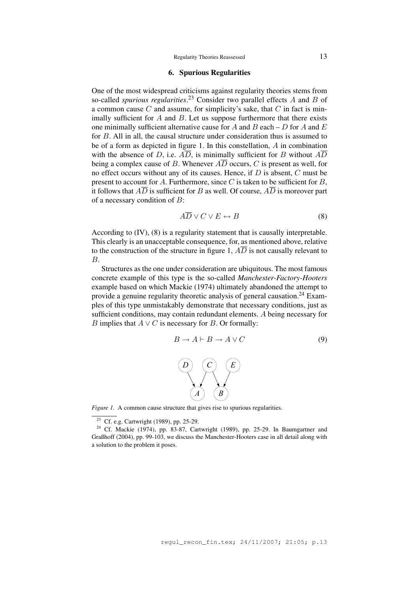## 6. Spurious Regularities

One of the most widespread criticisms against regularity theories stems from so-called *spurious regularities*. <sup>23</sup> Consider two parallel effects A and B of a common cause  $C$  and assume, for simplicity's sake, that  $C$  in fact is minimally sufficient for  $A$  and  $B$ . Let us suppose furthermore that there exists one minimally sufficient alternative cause for A and B each – D for A and E for B. All in all, the causal structure under consideration thus is assumed to be of a form as depicted in figure 1. In this constellation, A in combination with the absence of D, i.e.  $\overline{AD}$ , is minimally sufficient for B without  $\overline{AD}$ being a complex cause of B. Whenever  $A\overline{D}$  occurs, C is present as well, for no effect occurs without any of its causes. Hence, if  $D$  is absent,  $C$  must be present to account for A. Furthermore, since  $C$  is taken to be sufficient for  $B$ , it follows that  $A\overline{D}$  is sufficient for B as well. Of course,  $A\overline{D}$  is moreover part of a necessary condition of B:

$$
A\overline{D} \vee C \vee E \leftrightarrow B \tag{8}
$$

According to (IV), (8) is a regularity statement that is causally interpretable. This clearly is an unacceptable consequence, for, as mentioned above, relative to the construction of the structure in figure 1,  $A\overline{D}$  is not causally relevant to B.

Structures as the one under consideration are ubiquitous. The most famous concrete example of this type is the so-called *Manchester-Factory-Hooters* example based on which Mackie (1974) ultimately abandoned the attempt to provide a genuine regularity theoretic analysis of general causation.<sup>24</sup> Examples of this type unmistakably demonstrate that necessary conditions, just as sufficient conditions, may contain redundant elements. A being necessary for B implies that  $A \vee C$  is necessary for B. Or formally:

$$
B \to A \vdash B \to A \lor C
$$
\n
$$
\begin{array}{c}\n\textcircled{1} \\
\textcircled{1} \\
\hline\n\textcircled{1} \\
\hline\n\textcircled{1} \\
\hline\n\end{array}
$$
\n
$$
\begin{array}{c}\n\textcircled{2} \\
\hline\n\textcircled{3} \\
\hline\n\end{array}
$$
\n
$$
\begin{array}{c}\n\textcircled{1} \\
\hline\n\end{array}
$$
\n
$$
\begin{array}{c}\n\textcircled{3} \\
\hline\n\end{array}
$$
\n
$$
\begin{array}{c}\n\textcircled{4} \\
\hline\n\end{array}
$$
\n
$$
\begin{array}{c}\n\textcircled{4} \\
\hline\n\end{array}
$$
\n
$$
\begin{array}{c}\n\textcircled{4} \\
\hline\n\end{array}
$$
\n
$$
\begin{array}{c}\n\textcircled{4} \\
\hline\n\end{array}
$$
\n
$$
\begin{array}{c}\n\textcircled{4} \\
\hline\n\end{array}
$$
\n
$$
\begin{array}{c}\n\textcircled{4} \\
\hline\n\end{array}
$$
\n
$$
\begin{array}{c}\n\textcircled{4} \\
\hline\n\end{array}
$$
\n
$$
\begin{array}{c}\n\textcircled{4} \\
\hline\n\end{array}
$$
\n
$$
\begin{array}{c}\n\textcircled{4} \\
\hline\n\end{array}
$$
\n
$$
\begin{array}{c}\n\textcircled{4} \\
\hline\n\end{array}
$$
\n
$$
\begin{array}{c}\n\textcircled{5} \\
\hline\n\end{array}
$$
\n
$$
\begin{array}{c}\n\textcircled{4} \\
\hline\n\end{array}
$$
\n
$$
\begin{array}{c}\n\textcircled{4} \\
\hline\n\end{array}
$$
\n
$$
\begin{array}{c}\n\textcircled{4} \\
\hline\n\end{array}
$$
\n
$$
\begin{array}{c}\n\textcircled{5} \\
\hline\n\end{array}
$$
\n
$$
\begin{array}{c}\n\textcircled{6} \\
\hline\n\end{array}
$$
\n
$$
\begin{array}{c}\n\textcircled{6} \\
\hline\n\end{array}
$$
\n<math display="</math>

*Figure 1.* A common cause structure that gives rise to spurious regularities.

<sup>&</sup>lt;sup>23</sup> Cf. e.g. Cartwright (1989), pp. 25-29.

<sup>24</sup> Cf. Mackie (1974), pp. 83-87, Cartwright (1989), pp. 25-29. In Baumgartner and Graßhoff (2004), pp. 99-103, we discuss the Manchester-Hooters case in all detail along with a solution to the problem it poses.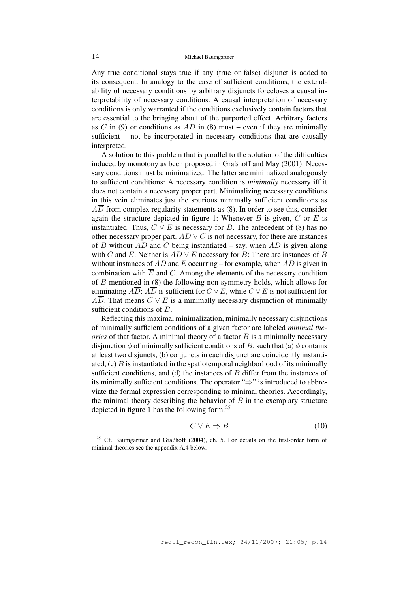Any true conditional stays true if any (true or false) disjunct is added to its consequent. In analogy to the case of sufficient conditions, the extendability of necessary conditions by arbitrary disjuncts forecloses a causal interpretability of necessary conditions. A causal interpretation of necessary conditions is only warranted if the conditions exclusively contain factors that are essential to the bringing about of the purported effect. Arbitrary factors as C in (9) or conditions as  $A\overline{D}$  in (8) must – even if they are minimally sufficient – not be incorporated in necessary conditions that are causally interpreted.

A solution to this problem that is parallel to the solution of the difficulties induced by monotony as been proposed in Graßhoff and May (2001): Necessary conditions must be minimalized. The latter are minimalized analogously to sufficient conditions: A necessary condition is *minimally* necessary iff it does not contain a necessary proper part. Minimalizing necessary conditions in this vein eliminates just the spurious minimally sufficient conditions as  $\overline{AD}$  from complex regularity statements as (8). In order to see this, consider again the structure depicted in figure 1: Whenever  $B$  is given,  $C$  or  $E$  is instantiated. Thus,  $C \vee E$  is necessary for B. The antecedent of (8) has no other necessary proper part.  $A\overline{D} \vee C$  is not necessary, for there are instances of B without  $\overline{AD}$  and C being instantiated – say, when  $AD$  is given along with  $\overline{C}$  and E. Neither is  $A\overline{D} \vee E$  necessary for B: There are instances of B without instances of  $A\overline{D}$  and E occurring – for example, when AD is given in combination with  $\overline{E}$  and  $C$ . Among the elements of the necessary condition of B mentioned in (8) the following non-symmetry holds, which allows for eliminating  $\overline{AD}$ :  $\overline{AD}$  is sufficient for  $C \vee E$ , while  $C \vee E$  is not sufficient for  $A\overline{D}$ . That means  $C \vee E$  is a minimally necessary disjunction of minimally sufficient conditions of B.

Reflecting this maximal minimalization, minimally necessary disjunctions of minimally sufficient conditions of a given factor are labeled *minimal theories* of that factor. A minimal theory of a factor  $B$  is a minimally necessary disjunction  $\phi$  of minimally sufficient conditions of B, such that (a)  $\phi$  contains at least two disjuncts, (b) conjuncts in each disjunct are coincidently instantiated,  $(c)$  B is instantiated in the spatiotemporal neighborhood of its minimally sufficient conditions, and (d) the instances of  $B$  differ from the instances of its minimally sufficient conditions. The operator "⇒" is introduced to abbreviate the formal expression corresponding to minimal theories. Accordingly, the minimal theory describing the behavior of  $B$  in the exemplary structure depicted in figure 1 has the following form:<sup>25</sup>

$$
C \vee E \Rightarrow B \tag{10}
$$

<sup>25</sup> Cf. Baumgartner and Graßhoff (2004), ch. 5. For details on the first-order form of minimal theories see the appendix A.4 below.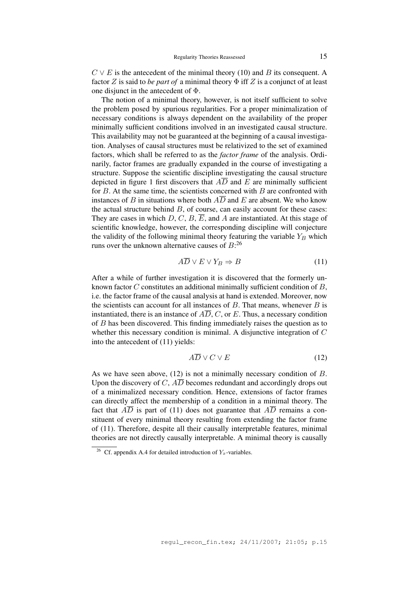$C \vee E$  is the antecedent of the minimal theory (10) and B its consequent. A factor Z is said to *be part of* a minimal theory Φ iff Z is a conjunct of at least one disjunct in the antecedent of Φ.

The notion of a minimal theory, however, is not itself sufficient to solve the problem posed by spurious regularities. For a proper minimalization of necessary conditions is always dependent on the availability of the proper minimally sufficient conditions involved in an investigated causal structure. This availability may not be guaranteed at the beginning of a causal investigation. Analyses of causal structures must be relativized to the set of examined factors, which shall be referred to as the *factor frame* of the analysis. Ordinarily, factor frames are gradually expanded in the course of investigating a structure. Suppose the scientific discipline investigating the causal structure depicted in figure 1 first discovers that  $\overline{AD}$  and E are minimally sufficient for  $B$ . At the same time, the scientists concerned with  $B$  are confronted with instances of B in situations where both  $A\overline{D}$  and E are absent. We who know the actual structure behind  $B$ , of course, can easily account for these cases: They are cases in which  $D, C, B, \overline{E}$ , and A are instantiated. At this stage of scientific knowledge, however, the corresponding discipline will conjecture the validity of the following minimal theory featuring the variable  $Y_B$  which runs over the unknown alternative causes of  $B$ :<sup>26</sup>

$$
A\overline{D} \vee E \vee Y_B \Rightarrow B \tag{11}
$$

After a while of further investigation it is discovered that the formerly unknown factor  $C$  constitutes an additional minimally sufficient condition of  $B$ , i.e. the factor frame of the causal analysis at hand is extended. Moreover, now the scientists can account for all instances of  $B$ . That means, whenever  $B$  is instantiated, there is an instance of  $A\overline{D}$ , C, or E. Thus, a necessary condition of B has been discovered. This finding immediately raises the question as to whether this necessary condition is minimal. A disjunctive integration of  $C$ into the antecedent of (11) yields:

$$
A\overline{D} \vee C \vee E \tag{12}
$$

As we have seen above, (12) is not a minimally necessary condition of B. Upon the discovery of C,  $A\overline{D}$  becomes redundant and accordingly drops out of a minimalized necessary condition. Hence, extensions of factor frames can directly affect the membership of a condition in a minimal theory. The fact that  $A\overline{D}$  is part of (11) does not guarantee that  $A\overline{D}$  remains a constituent of every minimal theory resulting from extending the factor frame of (11). Therefore, despite all their causally interpretable features, minimal theories are not directly causally interpretable. A minimal theory is causally

<sup>&</sup>lt;sup>26</sup> Cf. appendix A.4 for detailed introduction of  $Y_x$ -variables.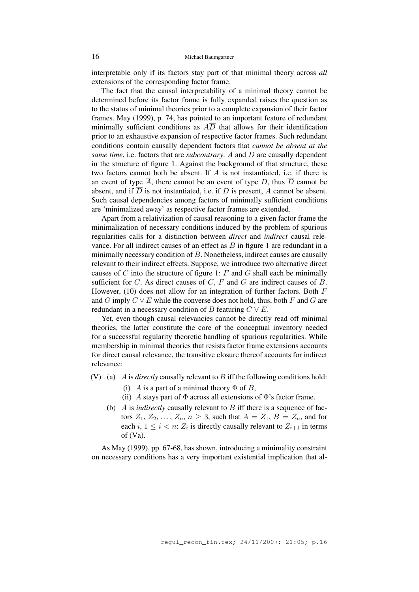interpretable only if its factors stay part of that minimal theory across *all* extensions of the corresponding factor frame.

The fact that the causal interpretability of a minimal theory cannot be determined before its factor frame is fully expanded raises the question as to the status of minimal theories prior to a complete expansion of their factor frames. May (1999), p. 74, has pointed to an important feature of redundant minimally sufficient conditions as  $A\overline{D}$  that allows for their identification prior to an exhaustive expansion of respective factor frames. Such redundant conditions contain causally dependent factors that *cannot be absent at the same time*, i.e. factors that are *subcontrary*. A and  $\overline{D}$  are causally dependent in the structure of figure 1. Against the background of that structure, these two factors cannot both be absent. If A is not instantiated, i.e. if there is an event of type  $\overline{A}$ , there cannot be an event of type D, thus  $\overline{D}$  cannot be absent, and if  $\overline{D}$  is not instantiated, i.e. if D is present, A cannot be absent. Such causal dependencies among factors of minimally sufficient conditions are 'minimalized away' as respective factor frames are extended.

Apart from a relativization of causal reasoning to a given factor frame the minimalization of necessary conditions induced by the problem of spurious regularities calls for a distinction between *direct* and *indirect* causal relevance. For all indirect causes of an effect as  $B$  in figure 1 are redundant in a minimally necessary condition of  $B$ . Nonetheless, indirect causes are causally relevant to their indirect effects. Suppose, we introduce two alternative direct causes of  $C$  into the structure of figure 1:  $F$  and  $G$  shall each be minimally sufficient for  $C$ . As direct causes of  $C$ ,  $F$  and  $G$  are indirect causes of  $B$ . However,  $(10)$  does not allow for an integration of further factors. Both F and G imply  $C \vee E$  while the converse does not hold, thus, both F and G are redundant in a necessary condition of B featuring  $C \vee E$ .

Yet, even though causal relevancies cannot be directly read off minimal theories, the latter constitute the core of the conceptual inventory needed for a successful regularity theoretic handling of spurious regularities. While membership in minimal theories that resists factor frame extensions accounts for direct causal relevance, the transitive closure thereof accounts for indirect relevance:

- (V) (a)  $A$  is *directly* causally relevant to  $B$  iff the following conditions hold:
	- (i) A is a part of a minimal theory  $\Phi$  of B,
	- (ii) A stays part of  $\Phi$  across all extensions of  $\Phi$ 's factor frame.
	- (b) A is *indirectly* causally relevant to B iff there is a sequence of factors  $Z_1, Z_2, \ldots, Z_n, n \geq 3$ , such that  $A = Z_1, B = Z_n$ , and for each  $i, 1 \leq i < n$ :  $Z_i$  is directly causally relevant to  $Z_{i+1}$  in terms of (Va).

As May (1999), pp. 67-68, has shown, introducing a minimality constraint on necessary conditions has a very important existential implication that al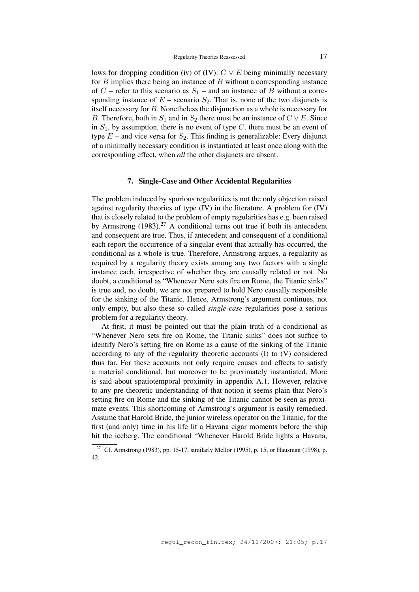lows for dropping condition (iv) of (IV):  $C \vee E$  being minimally necessary for  $B$  implies there being an instance of  $B$  without a corresponding instance of C – refer to this scenario as  $S_1$  – and an instance of B without a corresponding instance of  $E$  – scenario  $S_2$ . That is, none of the two disjuncts is itself necessary for B. Nonetheless the disjunction as a whole is necessary for B. Therefore, both in  $S_1$  and in  $S_2$  there must be an instance of  $C \vee E$ . Since in  $S_1$ , by assumption, there is no event of type C, there must be an event of type  $E$  – and vice versa for  $S_2$ . This finding is generalizable: Every disjunct of a minimally necessary condition is instantiated at least once along with the corresponding effect, when *all* the other disjuncts are absent.

### 7. Single-Case and Other Accidental Regularities

The problem induced by spurious regularities is not the only objection raised against regularity theories of type (IV) in the literature. A problem for (IV) that is closely related to the problem of empty regularities has e.g. been raised by Armstrong  $(1983).^{27}$  A conditional turns out true if both its antecedent and consequent are true. Thus, if antecedent and consequent of a conditional each report the occurrence of a singular event that actually has occurred, the conditional as a whole is true. Therefore, Armstrong argues, a regularity as required by a regularity theory exists among any two factors with a single instance each, irrespective of whether they are causally related or not. No doubt, a conditional as "Whenever Nero sets fire on Rome, the Titanic sinks" is true and, no doubt, we are not prepared to hold Nero causally responsible for the sinking of the Titanic. Hence, Armstrong's argument continues, not only empty, but also these so-called *single-case* regularities pose a serious problem for a regularity theory.

At first, it must be pointed out that the plain truth of a conditional as "Whenever Nero sets fire on Rome, the Titanic sinks" does not suffice to identify Nero's setting fire on Rome as a cause of the sinking of the Titanic according to any of the regularity theoretic accounts (I) to (V) considered thus far. For these accounts not only require causes and effects to satisfy a material conditional, but moreover to be proximately instantiated. More is said about spatiotemporal proximity in appendix A.1. However, relative to any pre-theoretic understanding of that notion it seems plain that Nero's setting fire on Rome and the sinking of the Titanic cannot be seen as proximate events. This shortcoming of Armstrong's argument is easily remedied. Assume that Harold Bride, the junior wireless operator on the Titanic, for the first (and only) time in his life lit a Havana cigar moments before the ship hit the iceberg. The conditional "Whenever Harold Bride lights a Havana,

<sup>27</sup> Cf. Armstrong (1983), pp. 15-17, similarly Mellor (1995), p. 15, or Hausman (1998), p. 42.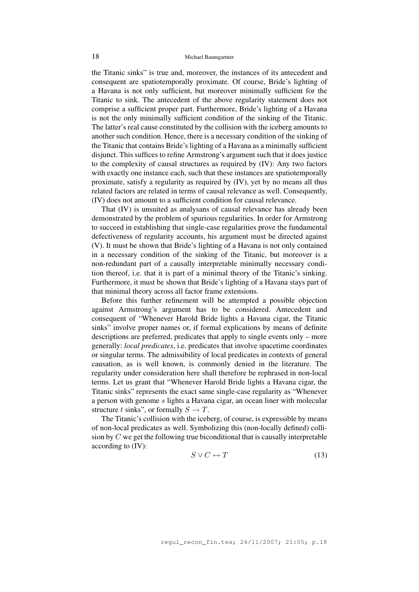the Titanic sinks" is true and, moreover, the instances of its antecedent and consequent are spatiotemporally proximate. Of course, Bride's lighting of a Havana is not only sufficient, but moreover minimally sufficient for the Titanic to sink. The antecedent of the above regularity statement does not comprise a sufficient proper part. Furthermore, Bride's lighting of a Havana is not the only minimally sufficient condition of the sinking of the Titanic. The latter's real cause constituted by the collision with the iceberg amounts to another such condition. Hence, there is a necessary condition of the sinking of the Titanic that contains Bride's lighting of a Havana as a minimally sufficient disjunct. This suffices to refine Armstrong's argument such that it does justice to the complexity of causal structures as required by (IV): Any two factors with exactly one instance each, such that these instances are spatiotemporally proximate, satisfy a regularity as required by (IV), yet by no means all thus related factors are related in terms of causal relevance as well. Consequently, (IV) does not amount to a sufficient condition for causal relevance.

That (IV) is unsuited as analysans of causal relevance has already been demonstrated by the problem of spurious regularities. In order for Armstrong to succeed in establishing that single-case regularities prove the fundamental defectiveness of regularity accounts, his argument must be directed against (V). It must be shown that Bride's lighting of a Havana is not only contained in a necessary condition of the sinking of the Titanic, but moreover is a non-redundant part of a causally interpretable minimally necessary condition thereof, i.e. that it is part of a minimal theory of the Titanic's sinking. Furthermore, it must be shown that Bride's lighting of a Havana stays part of that minimal theory across all factor frame extensions.

Before this further refinement will be attempted a possible objection against Armstrong's argument has to be considered. Antecedent and consequent of "Whenever Harold Bride lights a Havana cigar, the Titanic sinks" involve proper names or, if formal explications by means of definite descriptions are preferred, predicates that apply to single events only – more generally: *local predicates*, i.e. predicates that involve spacetime coordinates or singular terms. The admissibility of local predicates in contexts of general causation, as is well known, is commonly denied in the literature. The regularity under consideration here shall therefore be rephrased in non-local terms. Let us grant that "Whenever Harold Bride lights a Havana cigar, the Titanic sinks" represents the exact same single-case regularity as "Whenever a person with genome s lights a Havana cigar, an ocean liner with molecular structure t sinks", or formally  $S \to T$ .

The Titanic's collision with the iceberg, of course, is expressible by means of non-local predicates as well. Symbolizing this (non-locally defined) collision by  $C$  we get the following true biconditional that is causally interpretable according to (IV):

$$
S \lor C \leftrightarrow T \tag{13}
$$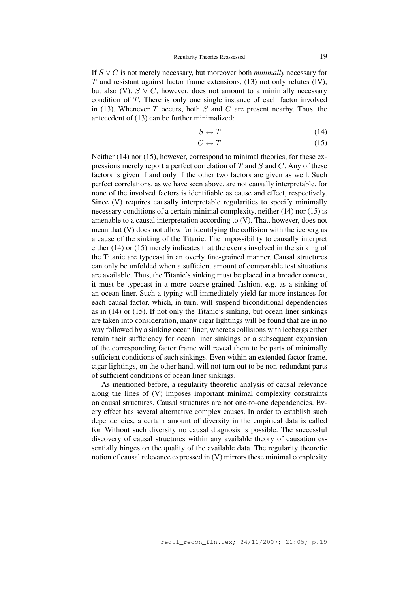If S ∨ C is not merely necessary, but moreover both *minimally* necessary for  $T$  and resistant against factor frame extensions, (13) not only refutes (IV), but also (V).  $S \vee C$ , however, does not amount to a minimally necessary condition of T. There is only one single instance of each factor involved in (13). Whenever  $T$  occurs, both  $S$  and  $C$  are present nearby. Thus, the antecedent of (13) can be further minimalized:

$$
S \leftrightarrow T \tag{14}
$$

$$
C \leftrightarrow T \tag{15}
$$

Neither (14) nor (15), however, correspond to minimal theories, for these expressions merely report a perfect correlation of  $T$  and  $S$  and  $C$ . Any of these factors is given if and only if the other two factors are given as well. Such perfect correlations, as we have seen above, are not causally interpretable, for none of the involved factors is identifiable as cause and effect, respectively. Since (V) requires causally interpretable regularities to specify minimally necessary conditions of a certain minimal complexity, neither (14) nor (15) is amenable to a causal interpretation according to (V). That, however, does not mean that (V) does not allow for identifying the collision with the iceberg as a cause of the sinking of the Titanic. The impossibility to causally interpret either (14) or (15) merely indicates that the events involved in the sinking of the Titanic are typecast in an overly fine-grained manner. Causal structures can only be unfolded when a sufficient amount of comparable test situations are available. Thus, the Titanic's sinking must be placed in a broader context, it must be typecast in a more coarse-grained fashion, e.g. as a sinking of an ocean liner. Such a typing will immediately yield far more instances for each causal factor, which, in turn, will suspend biconditional dependencies as in (14) or (15). If not only the Titanic's sinking, but ocean liner sinkings are taken into consideration, many cigar lightings will be found that are in no way followed by a sinking ocean liner, whereas collisions with icebergs either retain their sufficiency for ocean liner sinkings or a subsequent expansion of the corresponding factor frame will reveal them to be parts of minimally sufficient conditions of such sinkings. Even within an extended factor frame, cigar lightings, on the other hand, will not turn out to be non-redundant parts of sufficient conditions of ocean liner sinkings.

As mentioned before, a regularity theoretic analysis of causal relevance along the lines of (V) imposes important minimal complexity constraints on causal structures. Causal structures are not one-to-one dependencies. Every effect has several alternative complex causes. In order to establish such dependencies, a certain amount of diversity in the empirical data is called for. Without such diversity no causal diagnosis is possible. The successful discovery of causal structures within any available theory of causation essentially hinges on the quality of the available data. The regularity theoretic notion of causal relevance expressed in (V) mirrors these minimal complexity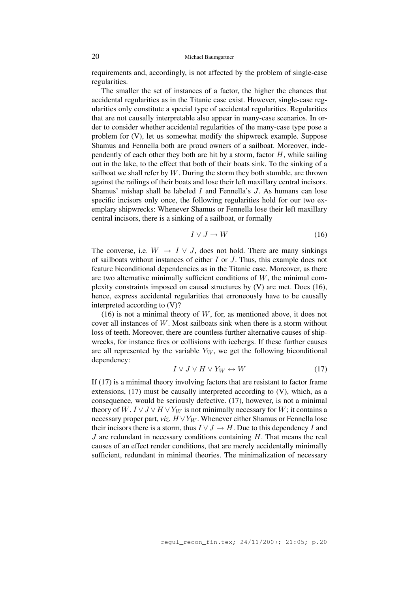requirements and, accordingly, is not affected by the problem of single-case regularities.

The smaller the set of instances of a factor, the higher the chances that accidental regularities as in the Titanic case exist. However, single-case regularities only constitute a special type of accidental regularities. Regularities that are not causally interpretable also appear in many-case scenarios. In order to consider whether accidental regularities of the many-case type pose a problem for (V), let us somewhat modify the shipwreck example. Suppose Shamus and Fennella both are proud owners of a sailboat. Moreover, independently of each other they both are hit by a storm, factor  $H$ , while sailing out in the lake, to the effect that both of their boats sink. To the sinking of a sailboat we shall refer by  $W$ . During the storm they both stumble, are thrown against the railings of their boats and lose their left maxillary central incisors. Shamus' mishap shall be labeled I and Fennella's J. As humans can lose specific incisors only once, the following regularities hold for our two exemplary shipwrecks: Whenever Shamus or Fennella lose their left maxillary central incisors, there is a sinking of a sailboat, or formally

$$
I \vee J \to W \tag{16}
$$

The converse, i.e.  $W \rightarrow I \vee J$ , does not hold. There are many sinkings of sailboats without instances of either I or J. Thus, this example does not feature biconditional dependencies as in the Titanic case. Moreover, as there are two alternative minimally sufficient conditions of  $W$ , the minimal complexity constraints imposed on causal structures by (V) are met. Does (16), hence, express accidental regularities that erroneously have to be causally interpreted according to (V)?

 $(16)$  is not a minimal theory of W, for, as mentioned above, it does not cover all instances of W. Most sailboats sink when there is a storm without loss of teeth. Moreover, there are countless further alternative causes of shipwrecks, for instance fires or collisions with icebergs. If these further causes are all represented by the variable  $Y_W$ , we get the following biconditional dependency:

$$
I \vee J \vee H \vee Y_W \leftrightarrow W \tag{17}
$$

If (17) is a minimal theory involving factors that are resistant to factor frame extensions, (17) must be causally interpreted according to (V), which, as a consequence, would be seriously defective. (17), however, is not a minimal theory of W.  $I \vee J \vee H \vee Y_W$  is not minimally necessary for W; it contains a necessary proper part, *viz.*  $H \vee Y_W$ . Whenever either Shamus or Fennella lose their incisors there is a storm, thus  $I \vee J \rightarrow H$ . Due to this dependency I and  $J$  are redundant in necessary conditions containing  $H$ . That means the real causes of an effect render conditions, that are merely accidentally minimally sufficient, redundant in minimal theories. The minimalization of necessary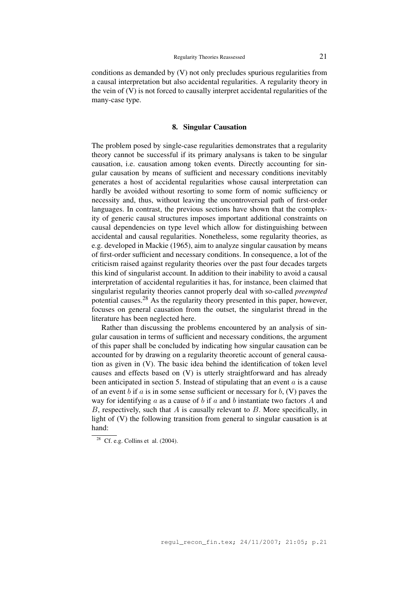conditions as demanded by (V) not only precludes spurious regularities from a causal interpretation but also accidental regularities. A regularity theory in the vein of (V) is not forced to causally interpret accidental regularities of the many-case type.

## 8. Singular Causation

The problem posed by single-case regularities demonstrates that a regularity theory cannot be successful if its primary analysans is taken to be singular causation, i.e. causation among token events. Directly accounting for singular causation by means of sufficient and necessary conditions inevitably generates a host of accidental regularities whose causal interpretation can hardly be avoided without resorting to some form of nomic sufficiency or necessity and, thus, without leaving the uncontroversial path of first-order languages. In contrast, the previous sections have shown that the complexity of generic causal structures imposes important additional constraints on causal dependencies on type level which allow for distinguishing between accidental and causal regularities. Nonetheless, some regularity theories, as e.g. developed in Mackie (1965), aim to analyze singular causation by means of first-order sufficient and necessary conditions. In consequence, a lot of the criticism raised against regularity theories over the past four decades targets this kind of singularist account. In addition to their inability to avoid a causal interpretation of accidental regularities it has, for instance, been claimed that singularist regularity theories cannot properly deal with so-called *preempted* potential causes.<sup>28</sup> As the regularity theory presented in this paper, however, focuses on general causation from the outset, the singularist thread in the literature has been neglected here.

Rather than discussing the problems encountered by an analysis of singular causation in terms of sufficient and necessary conditions, the argument of this paper shall be concluded by indicating how singular causation can be accounted for by drawing on a regularity theoretic account of general causation as given in (V). The basic idea behind the identification of token level causes and effects based on (V) is utterly straightforward and has already been anticipated in section 5. Instead of stipulating that an event  $\alpha$  is a cause of an event b if a is in some sense sufficient or necessary for b,  $(V)$  paves the way for identifying a as a cause of b if a and b instantiate two factors A and B, respectively, such that A is causally relevant to B. More specifically, in light of (V) the following transition from general to singular causation is at hand:

 $\overline{^{28}$  Cf. e.g. Collins et al. (2004).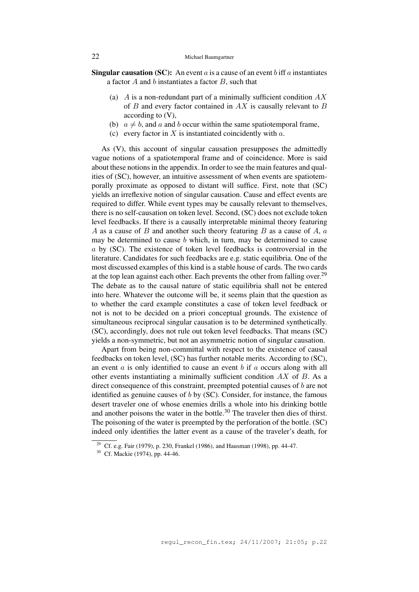**Singular causation (SC):** An event  $\alpha$  is a cause of an event  $\beta$  iff  $\alpha$  instantiates a factor  $A$  and  $b$  instantiates a factor  $B$ , such that

- (a) A is a non-redundant part of a minimally sufficient condition  $AX$ of  $B$  and every factor contained in  $AX$  is causally relevant to  $B$ according to (V),
- (b)  $a \neq b$ , and a and b occur within the same spatiotemporal frame,
- (c) every factor in  $X$  is instantiated coincidently with  $a$ .

As (V), this account of singular causation presupposes the admittedly vague notions of a spatiotemporal frame and of coincidence. More is said about these notions in the appendix. In order to see the main features and qualities of (SC), however, an intuitive assessment of when events are spatiotemporally proximate as opposed to distant will suffice. First, note that (SC) yields an irreflexive notion of singular causation. Cause and effect events are required to differ. While event types may be causally relevant to themselves, there is no self-causation on token level. Second, (SC) does not exclude token level feedbacks. If there is a causally interpretable minimal theory featuring A as a cause of B and another such theory featuring B as a cause of A,  $a$ may be determined to cause  $b$  which, in turn, may be determined to cause a by (SC). The existence of token level feedbacks is controversial in the literature. Candidates for such feedbacks are e.g. static equilibria. One of the most discussed examples of this kind is a stable house of cards. The two cards at the top lean against each other. Each prevents the other from falling over.<sup>29</sup> The debate as to the causal nature of static equilibria shall not be entered into here. Whatever the outcome will be, it seems plain that the question as to whether the card example constitutes a case of token level feedback or not is not to be decided on a priori conceptual grounds. The existence of simultaneous reciprocal singular causation is to be determined synthetically. (SC), accordingly, does not rule out token level feedbacks. That means (SC) yields a non-symmetric, but not an asymmetric notion of singular causation.

Apart from being non-committal with respect to the existence of causal feedbacks on token level, (SC) has further notable merits. According to (SC), an event  $\alpha$  is only identified to cause an event  $\beta$  if  $\alpha$  occurs along with all other events instantiating a minimally sufficient condition  $AX$  of  $B$ . As a direct consequence of this constraint, preempted potential causes of b are not identified as genuine causes of  $b$  by (SC). Consider, for instance, the famous desert traveler one of whose enemies drills a whole into his drinking bottle and another poisons the water in the bottle.<sup>30</sup> The traveler then dies of thirst. The poisoning of the water is preempted by the perforation of the bottle. (SC) indeed only identifies the latter event as a cause of the traveler's death, for

<sup>&</sup>lt;sup>29</sup> Cf. e.g. Fair (1979), p. 230, Frankel (1986), and Hausman (1998), pp. 44-47.

<sup>30</sup> Cf. Mackie (1974), pp. 44-46.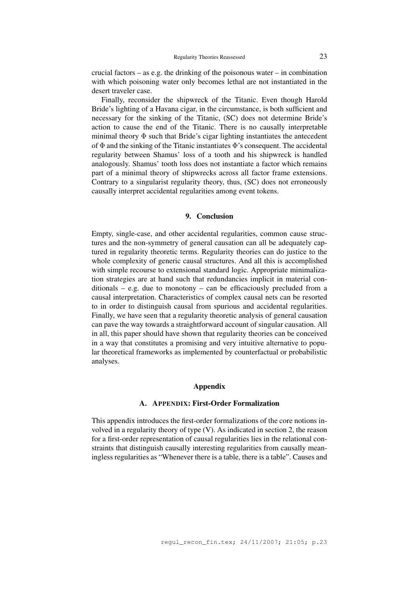crucial factors – as e.g. the drinking of the poisonous water – in combination with which poisoning water only becomes lethal are not instantiated in the desert traveler case.

Finally, reconsider the shipwreck of the Titanic. Even though Harold Bride's lighting of a Havana cigar, in the circumstance, is both sufficient and necessary for the sinking of the Titanic, (SC) does not determine Bride's action to cause the end of the Titanic. There is no causally interpretable minimal theory  $\Phi$  such that Bride's cigar lighting instantiates the antecedent of  $\Phi$  and the sinking of the Titanic instantiates  $\Phi$ 's consequent. The accidental regularity between Shamus' loss of a tooth and his shipwreck is handled analogously. Shamus' tooth loss does not instantiate a factor which remains part of a minimal theory of shipwrecks across all factor frame extensions. Contrary to a singularist regularity theory, thus, (SC) does not erroneously causally interpret accidental regularities among event tokens.

## 9. Conclusion

Empty, single-case, and other accidental regularities, common cause structures and the non-symmetry of general causation can all be adequately captured in regularity theoretic terms. Regularity theories can do justice to the whole complexity of generic causal structures. And all this is accomplished with simple recourse to extensional standard logic. Appropriate minimalization strategies are at hand such that redundancies implicit in material conditionals – e.g. due to monotony – can be efficaciously precluded from a causal interpretation. Characteristics of complex causal nets can be resorted to in order to distinguish causal from spurious and accidental regularities. Finally, we have seen that a regularity theoretic analysis of general causation can pave the way towards a straightforward account of singular causation. All in all, this paper should have shown that regularity theories can be conceived in a way that constitutes a promising and very intuitive alternative to popular theoretical frameworks as implemented by counterfactual or probabilistic analyses.

#### Appendix

## A. APPENDIX: First-Order Formalization

This appendix introduces the first-order formalizations of the core notions involved in a regularity theory of type (V). As indicated in section 2, the reason for a first-order representation of causal regularities lies in the relational constraints that distinguish causally interesting regularities from causally meaningless regularities as "Whenever there is a table, there is a table". Causes and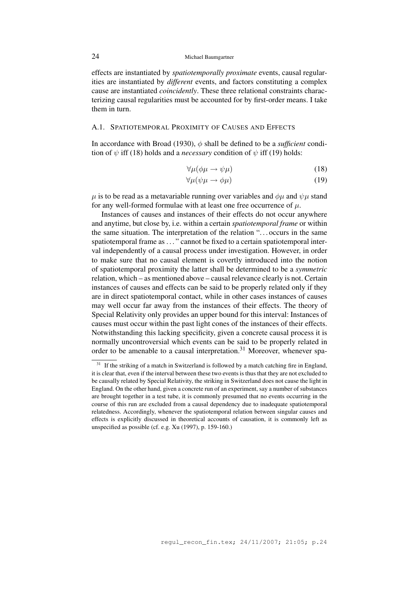effects are instantiated by *spatiotemporally proximate* events, causal regularities are instantiated by *different* events, and factors constituting a complex cause are instantiated *coincidently*. These three relational constraints characterizing causal regularities must be accounted for by first-order means. I take them in turn.

## A.1. SPATIOTEMPORAL PROXIMITY OF CAUSES AND EFFECTS

In accordance with Broad (1930), φ shall be defined to be a *sufficient* condition of  $\psi$  iff (18) holds and a *necessary* condition of  $\psi$  iff (19) holds:

$$
\forall \mu(\phi\mu \to \psi\mu) \tag{18}
$$

$$
\forall \mu(\psi\mu \to \phi\mu) \tag{19}
$$

 $\mu$  is to be read as a metavariable running over variables and  $\phi\mu$  and  $\psi\mu$  stand for any well-formed formulae with at least one free occurrence of  $\mu$ .

Instances of causes and instances of their effects do not occur anywhere and anytime, but close by, i.e. within a certain *spatiotemporal frame* or within the same situation. The interpretation of the relation ". . . occurs in the same spatiotemporal frame as ..." cannot be fixed to a certain spatiotemporal interval independently of a causal process under investigation. However, in order to make sure that no causal element is covertly introduced into the notion of spatiotemporal proximity the latter shall be determined to be a *symmetric* relation, which – as mentioned above – causal relevance clearly is not. Certain instances of causes and effects can be said to be properly related only if they are in direct spatiotemporal contact, while in other cases instances of causes may well occur far away from the instances of their effects. The theory of Special Relativity only provides an upper bound for this interval: Instances of causes must occur within the past light cones of the instances of their effects. Notwithstanding this lacking specificity, given a concrete causal process it is normally uncontroversial which events can be said to be properly related in order to be amenable to a causal interpretation.<sup>31</sup> Moreover, whenever spa-

 $31$  If the striking of a match in Switzerland is followed by a match catching fire in England, it is clear that, even if the interval between these two events is thus that they are not excluded to be causally related by Special Relativity, the striking in Switzerland does not cause the light in England. On the other hand, given a concrete run of an experiment, say a number of substances are brought together in a test tube, it is commonly presumed that no events occurring in the course of this run are excluded from a causal dependency due to inadequate spatiotemporal relatedness. Accordingly, whenever the spatiotemporal relation between singular causes and effects is explicitly discussed in theoretical accounts of causation, it is commonly left as unspecified as possible (cf. e.g. Xu (1997), p. 159-160.)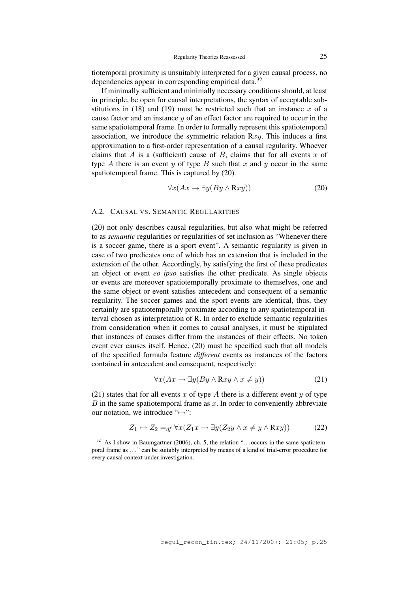tiotemporal proximity is unsuitably interpreted for a given causal process, no dependencies appear in corresponding empirical data.<sup>32</sup>

If minimally sufficient and minimally necessary conditions should, at least in principle, be open for causal interpretations, the syntax of acceptable substitutions in (18) and (19) must be restricted such that an instance  $x$  of a cause factor and an instance  $y$  of an effect factor are required to occur in the same spatiotemporal frame. In order to formally represent this spatiotemporal association, we introduce the symmetric relation  $Rxy$ . This induces a first approximation to a first-order representation of a causal regularity. Whoever claims that A is a (sufficient) cause of B, claims that for all events  $x$  of type A there is an event y of type B such that x and y occur in the same spatiotemporal frame. This is captured by (20).

$$
\forall x (Ax \to \exists y (By \land \mathbf{R}xy)) \tag{20}
$$

## A.2. CAUSAL VS. SEMANTIC REGULARITIES

(20) not only describes causal regularities, but also what might be referred to as *semantic* regularities or regularities of set inclusion as "Whenever there is a soccer game, there is a sport event". A semantic regularity is given in case of two predicates one of which has an extension that is included in the extension of the other. Accordingly, by satisfying the first of these predicates an object or event *eo ipso* satisfies the other predicate. As single objects or events are moreover spatiotemporally proximate to themselves, one and the same object or event satisfies antecedent and consequent of a semantic regularity. The soccer games and the sport events are identical, thus, they certainly are spatiotemporally proximate according to any spatiotemporal interval chosen as interpretation of R. In order to exclude semantic regularities from consideration when it comes to causal analyses, it must be stipulated that instances of causes differ from the instances of their effects. No token event ever causes itself. Hence, (20) must be specified such that all models of the specified formula feature *different* events as instances of the factors contained in antecedent and consequent, respectively:

$$
\forall x (Ax \to \exists y (By \land Rxy \land x \neq y)) \tag{21}
$$

(21) states that for all events x of type A there is a different event y of type  $B$  in the same spatiotemporal frame as  $x$ . In order to conveniently abbreviate our notation, we introduce " $\mapsto$ ":

$$
Z_1 \mapsto Z_2 =_{df} \forall x (Z_1 x \to \exists y (Z_2 y \land x \neq y \land \mathbf{R} xy))
$$
 (22)

 $32$  As I show in Baumgartner (2006), ch. 5, the relation "... occurs in the same spatiotemporal frame as . . . " can be suitably interpreted by means of a kind of trial-error procedure for every causal context under investigation.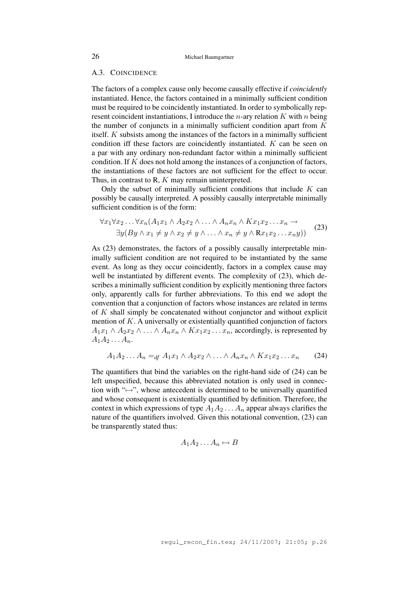### A.3. COINCIDENCE

The factors of a complex cause only become causally effective if *coincidently* instantiated. Hence, the factors contained in a minimally sufficient condition must be required to be coincidently instantiated. In order to symbolically represent coincident instantiations, I introduce the *n*-ary relation  $K$  with *n* being the number of conjuncts in a minimally sufficient condition apart from  $K$ itself. K subsists among the instances of the factors in a minimally sufficient condition iff these factors are coincidently instantiated. K can be seen on a par with any ordinary non-redundant factor within a minimally sufficient condition. If K does not hold among the instances of a conjunction of factors, the instantiations of these factors are not sufficient for the effect to occur. Thus, in contrast to R, K may remain uninterpreted.

Only the subset of minimally sufficient conditions that include  $K$  can possibly be causally interpreted. A possibly causally interpretable minimally sufficient condition is of the form:

$$
\forall x_1 \forall x_2 \dots \forall x_n (A_1 x_1 \land A_2 x_2 \land \dots \land A_n x_n \land K x_1 x_2 \dots x_n \rightarrow
$$
  

$$
\exists y (By \land x_1 \neq y \land x_2 \neq y \land \dots \land x_n \neq y \land R x_1 x_2 \dots x_n y))
$$
 (23)

As (23) demonstrates, the factors of a possibly causally interpretable minimally sufficient condition are not required to be instantiated by the same event. As long as they occur coincidently, factors in a complex cause may well be instantiated by different events. The complexity of (23), which describes a minimally sufficient condition by explicitly mentioning three factors only, apparently calls for further abbreviations. To this end we adopt the convention that a conjunction of factors whose instances are related in terms of K shall simply be concatenated without conjunctor and without explicit mention of  $K$ . A universally or existentially quantified conjunction of factors  $A_1x_1 \wedge A_2x_2 \wedge \ldots \wedge A_nx_n \wedge Kx_1x_2 \ldots x_n$ , accordingly, is represented by  $A_1A_2\ldots A_n$ .

$$
A_1 A_2 \dots A_n =_{df} A_1 x_1 \wedge A_2 x_2 \wedge \dots \wedge A_n x_n \wedge K x_1 x_2 \dots x_n \qquad (24)
$$

The quantifiers that bind the variables on the right-hand side of (24) can be left unspecified, because this abbreviated notation is only used in connection with " $\rightarrow$ ", whose antecedent is determined to be universally quantified and whose consequent is existentially quantified by definition. Therefore, the context in which expressions of type  $A_1A_2 \ldots A_n$  appear always clarifies the nature of the quantifiers involved. Given this notational convention, (23) can be transparently stated thus:

$$
A_1 A_2 \dots A_n \mapsto B
$$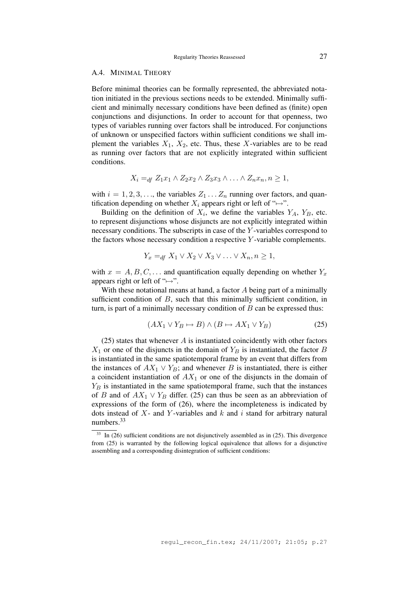### A.4. MINIMAL THEORY

Before minimal theories can be formally represented, the abbreviated notation initiated in the previous sections needs to be extended. Minimally sufficient and minimally necessary conditions have been defined as (finite) open conjunctions and disjunctions. In order to account for that openness, two types of variables running over factors shall be introduced. For conjunctions of unknown or unspecified factors within sufficient conditions we shall implement the variables  $X_1$ ,  $X_2$ , etc. Thus, these X-variables are to be read as running over factors that are not explicitly integrated within sufficient conditions.

$$
X_i =_{df} Z_1x_1 \wedge Z_2x_2 \wedge Z_3x_3 \wedge \ldots \wedge Z_nx_n, n \ge 1,
$$

with  $i = 1, 2, 3, \ldots$ , the variables  $Z_1 \ldots Z_n$  running over factors, and quantification depending on whether  $X_i$  appears right or left of " $\mapsto$ ".

Building on the definition of  $X_i$ , we define the variables  $Y_A$ ,  $Y_B$ , etc. to represent disjunctions whose disjuncts are not explicitly integrated within necessary conditions. The subscripts in case of the Y -variables correspond to the factors whose necessary condition a respective  $Y$ -variable complements.

$$
Y_x =_{df} X_1 \vee X_2 \vee X_3 \vee \ldots \vee X_n, n \ge 1,
$$

with  $x = A, B, C, \ldots$  and quantification equally depending on whether  $Y_x$ appears right or left of " $\mapsto$ ".

With these notational means at hand, a factor  $A$  being part of a minimally sufficient condition of B, such that this minimally sufficient condition, in turn, is part of a minimally necessary condition of  $B$  can be expressed thus:

$$
(AX_1 \lor Y_B \mapsto B) \land (B \mapsto AX_1 \lor Y_B) \tag{25}
$$

 $(25)$  states that whenever A is instantiated coincidently with other factors  $X_1$  or one of the disjuncts in the domain of  $Y_B$  is instantiated, the factor B is instantiated in the same spatiotemporal frame by an event that differs from the instances of  $AX_1 \vee Y_B$ ; and whenever B is instantiated, there is either a coincident instantiation of  $AX_1$  or one of the disjuncts in the domain of  $Y_B$  is instantiated in the same spatiotemporal frame, such that the instances of B and of  $AX_1 \vee Y_B$  differ. (25) can thus be seen as an abbreviation of expressions of the form of (26), where the incompleteness is indicated by dots instead of  $X$ - and  $Y$ -variables and  $k$  and  $i$  stand for arbitrary natural numbers.<sup>33</sup>

 $33$  In (26) sufficient conditions are not disjunctively assembled as in (25). This divergence from (25) is warranted by the following logical equivalence that allows for a disjunctive assembling and a corresponding disintegration of sufficient conditions: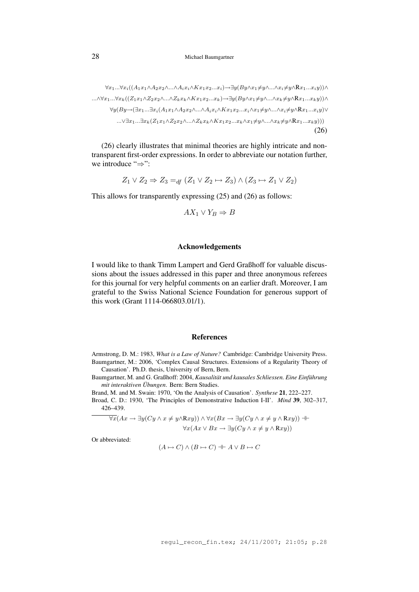$$
\forall x_1...\forall x_i((A_1x_1 \land A_2x_2 \land \dots \land A_ix_i \land Kx_1x_2 \dots x_i) \to \exists y(By \land x_1 \neq y \land \dots \land x_i \neq y \land Rx_1 \dots x_iy)) \land \n... \land \forall x_1...\forall x_k((Z_1x_1 \land Z_2x_2 \land \dots \land Z_kx_k \land Kx_1x_2 \dots x_k) \to \exists y(By \land x_1 \neq y \land \dots \land x_k \neq y \land Rx_1 \dots x_ky)) \land \n\forall y(By \to (\exists x_1...\exists x_i(A_1x_1 \land A_2x_2 \land \dots \land A_ix_i \land Kx_1x_2 \dots x_i \land x_1 \neq y \land \dots \land x_k \neq y \land Rx_1 \dots x_iy))\n... \lor \exists x_1...\exists x_k(Z_1x_1 \land Z_2x_2 \land \dots \land Z_kx_k \land Kx_1x_2 \dots x_k \land x_1 \neq y \land \dots \land x_k \neq y \land Rx_1 \dots x_ky)))
$$
\n(26)

(26) clearly illustrates that minimal theories are highly intricate and nontransparent first-order expressions. In order to abbreviate our notation further, we introduce "⇒":

 $Z_1 \vee Z_2 \Rightarrow Z_3 =_{df} (Z_1 \vee Z_2 \mapsto Z_3) \wedge (Z_3 \mapsto Z_1 \vee Z_2)$ 

This allows for transparently expressing (25) and (26) as follows:

$$
AX_1 \vee Y_B \Rightarrow B
$$

## Acknowledgements

I would like to thank Timm Lampert and Gerd Graßhoff for valuable discussions about the issues addressed in this paper and three anonymous referees for this journal for very helpful comments on an earlier draft. Moreover, I am grateful to the Swiss National Science Foundation for generous support of this work (Grant 1114-066803.01/1).

### References

Armstrong, D. M.: 1983, *What is a Law of Nature?* Cambridge: Cambridge University Press. Baumgartner, M.: 2006, 'Complex Causal Structures. Extensions of a Regularity Theory of Causation'. Ph.D. thesis, University of Bern, Bern.

Baumgartner, M. and G. Graßhoff: 2004, *Kausalität und kausales Schliessen. Eine Einführung mit interaktiven Übungen*. Bern: Bern Studies.

Brand, M. and M. Swain: 1970, 'On the Analysis of Causation'. *Synthese* 21, 222–227.

Broad, C. D.: 1930, 'The Principles of Demonstrative Induction I-II'. *Mind* 39, 302–317, 426–439.

 $\overline{\forall x}(Ax \to \exists y (Cy \land x \neq y \land \mathbf{R}xy)) \land \forall x (Bx \to \exists y (Cy \land x \neq y \land \mathbf{R}xy)) \dashv\vdash$  $\forall x (Ax \lor Bx \rightarrow \exists y (Cy \land x \neq y \land Rxy))$ 

Or abbreviated:

$$
(A \mapsto C) \land (B \mapsto C) \dashv \vdash A \lor B \mapsto C
$$